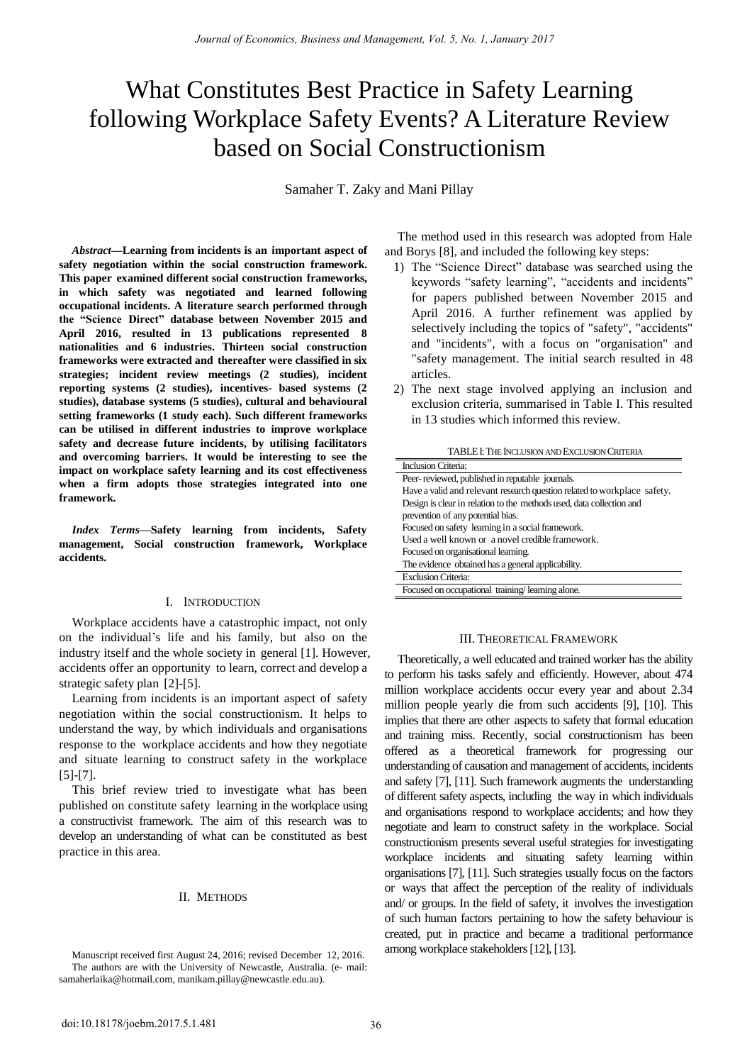# What Constitutes Best Practice in Safety Learning following Workplace Safety Events? A Literature Review based on Social Constructionism

Samaher T. Zaky and Mani Pillay

*Abstract—***Learning from incidents is an important aspect of safety negotiation within the social construction framework. This paper examined different social construction frameworks, in which safety was negotiated and learned following occupational incidents. A literature search performed through the "Science Direct" database between November 2015 and April 2016, resulted in 13 publications represented 8 nationalities and 6 industries. Thirteen social construction frameworks were extracted and thereafter were classified in six strategies; incident review meetings (2 studies), incident reporting systems (2 studies), incentives- based systems (2 studies), database systems (5 studies), cultural and behavioural setting frameworks (1 study each). Such different frameworks can be utilised in different industries to improve workplace safety and decrease future incidents, by utilising facilitators and overcoming barriers. It would be interesting to see the impact on workplace safety learning and its cost effectiveness when a firm adopts those strategies integrated into one framework.**

*Index Terms***—Safety learning from incidents, Safety management, Social construction framework, Workplace accidents.** 

## I. INTRODUCTION

Workplace accidents have a catastrophic impact, not only on the individual's life and his family, but also on the industry itself and the whole society in general [1]. However, accidents offer an opportunity to learn, correct and develop a strategic safety plan [2]-[5].

Learning from incidents is an important aspect of safety negotiation within the social constructionism. It helps to understand the way, by which individuals and organisations response to the workplace accidents and how they negotiate and situate learning to construct safety in the workplace [5]-[7].

This brief review tried to investigate what has been published on constitute safety learning in the workplace using a constructivist framework. The aim of this research was to develop an understanding of what can be constituted as best practice in this area.

#### II. METHODS

The method used in this research was adopted from Hale and Borys [8], and included the following key steps:

- 1) The "Science Direct" database was searched using the keywords "safety learning", "accidents and incidents" for papers published between November 2015 and April 2016. A further refinement was applied by selectively including the topics of "safety", "accidents" and "incidents", with a focus on "organisation" and "safety management. The initial search resulted in 48 articles.
- 2) The next stage involved applying an inclusion and exclusion criteria, summarised in Table I. This resulted in 13 studies which informed this review.

| Inclusion Criteria:                                                      |
|--------------------------------------------------------------------------|
| Peer-reviewed, published in reputable journals.                          |
| Have a valid and relevant research question related to workplace safety. |
| Design is clear in relation to the methods used, data collection and     |
| prevention of any potential bias.                                        |
| Focused on safety learning in a social framework.                        |
| Used a well known or a novel credible framework.                         |
| Focused on organisational learning.                                      |
| The evidence obtained has a general applicability.                       |
| <b>Exclusion Criteria:</b>                                               |
| Focused on occupational training/learning alone.                         |

#### III. THEORETICAL FRAMEWORK

Theoretically, a well educated and trained worker has the ability to perform his tasks safely and efficiently. However, about 474 million workplace accidents occur every year and about 2.34 million people yearly die from such accidents [9], [10]. This implies that there are other aspects to safety that formal education and training miss. Recently, social constructionism has been offered as a theoretical framework for progressing our understanding of causation and management of accidents, incidents and safety [7], [11]. Such framework augments the understanding of different safety aspects, including the way in which individuals and organisations respond to workplace accidents; and how they negotiate and learn to construct safety in the workplace. Social constructionism presents several useful strategies for investigating workplace incidents and situating safety learning within organisations [7], [11]. Such strategies usually focus on the factors or ways that affect the perception of the reality of individuals and/ or groups. In the field of safety, it involves the investigation of such human factors pertaining to how the safety behaviour is created, put in practice and became a traditional performance among workplace stakeholders [12], [13].

Manuscript received first August 24, 2016; revised December 12, 2016. The authors are with the University of Newcastle, Australia. (e- mail: samaherlaika@hotmail.com, manikam.pillay@newcastle.edu.au).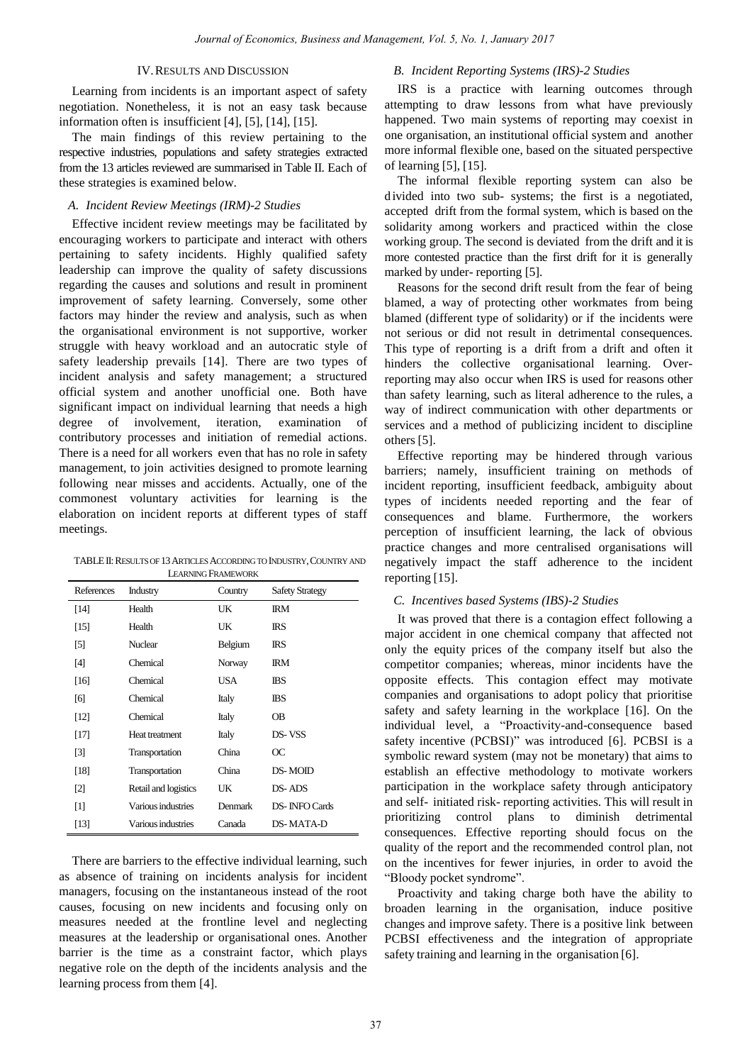### IV.RESULTS AND DISCUSSION

Learning from incidents is an important aspect of safety negotiation. Nonetheless, it is not an easy task because information often is insufficient [4], [5], [14], [15].

The main findings of this review pertaining to the respective industries, populations and safety strategies extracted from the 13 articles reviewed are summarised in Table II. Each of these strategies is examined below.

## *A. Incident Review Meetings (IRM)-2 Studies*

Effective incident review meetings may be facilitated by encouraging workers to participate and interact with others pertaining to safety incidents. Highly qualified safety leadership can improve the quality of safety discussions regarding the causes and solutions and result in prominent improvement of safety learning. Conversely, some other factors may hinder the review and analysis, such as when the organisational environment is not supportive, worker struggle with heavy workload and an autocratic style of safety leadership prevails [14]. There are two types of incident analysis and safety management; a structured official system and another unofficial one. Both have significant impact on individual learning that needs a high degree of involvement, iteration, examination of contributory processes and initiation of remedial actions. There is a need for all workers even that has no role in safety management, to join activities designed to promote learning following near misses and accidents. Actually, one of the commonest voluntary activities for learning is the elaboration on incident reports at different types of staff meetings.

TABLEII:RESULTS OF 13ARTICLES ACCORDING TO INDUSTRY,COUNTRY AND LEARNING FRAMEWORK

| References        | Industry             | Country | <b>Safety Strategy</b> |
|-------------------|----------------------|---------|------------------------|
| [14]              | Health               | UK      | <b>IRM</b>             |
| [15]              | Health               | UK      | ΙRS                    |
| [5]               | <b>Nuclear</b>       | Belgium | <b>IRS</b>             |
| [4]               | Chemical             | Norway  | IRМ                    |
| [16]              | Chemical             | USA     | <b>IBS</b>             |
| [6]               | Chemical             | Italy   | <b>IBS</b>             |
| [12]              | Chemical             | Italy   | <b>OB</b>              |
| [17]              | Heat treatment       | Italy   | DS-VSS                 |
| [3]               | Transportation       | China   | OC                     |
| [18]              | Transportation       | China   | DS-MOID                |
| $\lceil 2 \rceil$ | Retail and logistics | UK      | DS-ADS                 |
| $\lceil 1 \rceil$ | Various industries   | Denmark | <b>DS-INFO Cards</b>   |
| [13]              | Various industries   | Canada  | <b>DS-MATA-D</b>       |

There are barriers to the effective individual learning, such as absence of training on incidents analysis for incident managers, focusing on the instantaneous instead of the root causes, focusing on new incidents and focusing only on measures needed at the frontline level and neglecting measures at the leadership or organisational ones. Another barrier is the time as a constraint factor, which plays negative role on the depth of the incidents analysis and the learning process from them [4].

# *B. Incident Reporting Systems (IRS)-2 Studies*

IRS is a practice with learning outcomes through attempting to draw lessons from what have previously happened. Two main systems of reporting may coexist in one organisation, an institutional official system and another more informal flexible one, based on the situated perspective of learning [5], [15].

The informal flexible reporting system can also be divided into two sub- systems; the first is a negotiated, accepted drift from the formal system, which is based on the solidarity among workers and practiced within the close working group. The second is deviated from the drift and it is more contested practice than the first drift for it is generally marked by under- reporting [5].

Reasons for the second drift result from the fear of being blamed, a way of protecting other workmates from being blamed (different type of solidarity) or if the incidents were not serious or did not result in detrimental consequences. This type of reporting is a drift from a drift and often it hinders the collective organisational learning. Overreporting may also occur when IRS is used for reasons other than safety learning, such as literal adherence to the rules, a way of indirect communication with other departments or services and a method of publicizing incident to discipline others [5].

Effective reporting may be hindered through various barriers; namely, insufficient training on methods of incident reporting, insufficient feedback, ambiguity about types of incidents needed reporting and the fear of consequences and blame. Furthermore, the workers perception of insufficient learning, the lack of obvious practice changes and more centralised organisations will negatively impact the staff adherence to the incident reporting [15].

# *C. Incentives based Systems (IBS)-2 Studies*

It was proved that there is a contagion effect following a major accident in one chemical company that affected not only the equity prices of the company itself but also the competitor companies; whereas, minor incidents have the opposite effects. This contagion effect may motivate companies and organisations to adopt policy that prioritise safety and safety learning in the workplace [16]. On the individual level, a "Proactivity-and-consequence based safety incentive (PCBSI)" was introduced [6]. PCBSI is a symbolic reward system (may not be monetary) that aims to establish an effective methodology to motivate workers participation in the workplace safety through anticipatory and self- initiated risk- reporting activities. This will result in prioritizing control plans to diminish detrimental consequences. Effective reporting should focus on the quality of the report and the recommended control plan, not on the incentives for fewer injuries, in order to avoid the "Bloody pocket syndrome".

Proactivity and taking charge both have the ability to broaden learning in the organisation, induce positive changes and improve safety. There is a positive link between PCBSI effectiveness and the integration of appropriate safety training and learning in the organisation [6].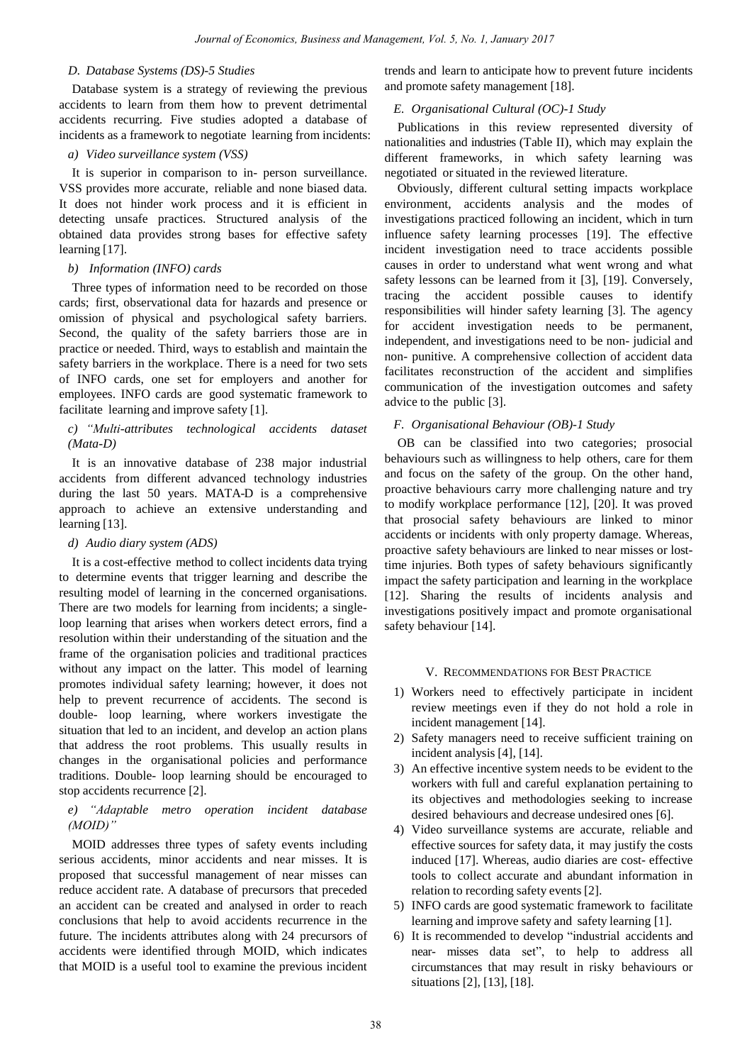## *D. Database Systems (DS)-5 Studies*

Database system is a strategy of reviewing the previous accidents to learn from them how to prevent detrimental accidents recurring. Five studies adopted a database of incidents as a framework to negotiate learning from incidents:

# *a) Video surveillance system (VSS)*

It is superior in comparison to in- person surveillance. VSS provides more accurate, reliable and none biased data. It does not hinder work process and it is efficient in detecting unsafe practices. Structured analysis of the obtained data provides strong bases for effective safety learning [17].

# *b) Information (INFO) cards*

Three types of information need to be recorded on those cards; first, observational data for hazards and presence or omission of physical and psychological safety barriers. Second, the quality of the safety barriers those are in practice or needed. Third, ways to establish and maintain the safety barriers in the workplace. There is a need for two sets of INFO cards, one set for employers and another for employees. INFO cards are good systematic framework to facilitate learning and improve safety [1].

# *c) "Multi-attributes technological accidents dataset (Mata-D)*

It is an innovative database of 238 major industrial accidents from different advanced technology industries during the last 50 years. MATA-D is a comprehensive approach to achieve an extensive understanding and learning [13].

#### *d) Audio diary system (ADS)*

It is a cost-effective method to collect incidents data trying to determine events that trigger learning and describe the resulting model of learning in the concerned organisations. There are two models for learning from incidents; a singleloop learning that arises when workers detect errors, find a resolution within their understanding of the situation and the frame of the organisation policies and traditional practices without any impact on the latter. This model of learning promotes individual safety learning; however, it does not help to prevent recurrence of accidents. The second is double- loop learning, where workers investigate the situation that led to an incident, and develop an action plans that address the root problems. This usually results in changes in the organisational policies and performance traditions. Double- loop learning should be encouraged to stop accidents recurrence [2].

# *e) "Adaptable metro operation incident database (MOID)"*

MOID addresses three types of safety events including serious accidents, minor accidents and near misses. It is proposed that successful management of near misses can reduce accident rate. A database of precursors that preceded an accident can be created and analysed in order to reach conclusions that help to avoid accidents recurrence in the future. The incidents attributes along with 24 precursors of accidents were identified through MOID, which indicates that MOID is a useful tool to examine the previous incident

trends and learn to anticipate how to prevent future incidents and promote safety management [18].

## *E. Organisational Cultural (OC)-1 Study*

Publications in this review represented diversity of nationalities and industries (Table II), which may explain the different frameworks, in which safety learning was negotiated or situated in the reviewed literature.

Obviously, different cultural setting impacts workplace environment, accidents analysis and the modes of investigations practiced following an incident, which in turn influence safety learning processes [19]. The effective incident investigation need to trace accidents possible causes in order to understand what went wrong and what safety lessons can be learned from it [3], [19]. Conversely, tracing the accident possible causes to identify responsibilities will hinder safety learning [3]. The agency for accident investigation needs to be permanent, independent, and investigations need to be non- judicial and non- punitive. A comprehensive collection of accident data facilitates reconstruction of the accident and simplifies communication of the investigation outcomes and safety advice to the public [3].

# *F. Organisational Behaviour (OB)-1 Study*

OB can be classified into two categories; prosocial behaviours such as willingness to help others, care for them and focus on the safety of the group. On the other hand, proactive behaviours carry more challenging nature and try to modify workplace performance [12], [20]. It was proved that prosocial safety behaviours are linked to minor accidents or incidents with only property damage. Whereas, proactive safety behaviours are linked to near misses or losttime injuries. Both types of safety behaviours significantly impact the safety participation and learning in the workplace [12]. Sharing the results of incidents analysis and investigations positively impact and promote organisational safety behaviour [14].

# V. RECOMMENDATIONS FOR BEST PRACTICE

- 1) Workers need to effectively participate in incident review meetings even if they do not hold a role in incident management [14].
- 2) Safety managers need to receive sufficient training on incident analysis [4], [14].
- 3) An effective incentive system needs to be evident to the workers with full and careful explanation pertaining to its objectives and methodologies seeking to increase desired behaviours and decrease undesired ones [6].
- 4) Video surveillance systems are accurate, reliable and effective sources for safety data, it may justify the costs induced [17]. Whereas, audio diaries are cost- effective tools to collect accurate and abundant information in relation to recording safety events [2].
- 5) INFO cards are good systematic framework to facilitate learning and improve safety and safety learning [1].
- 6) It is recommended to develop "industrial accidents and near- misses data set", to help to address all circumstances that may result in risky behaviours or situations [2], [13], [18].